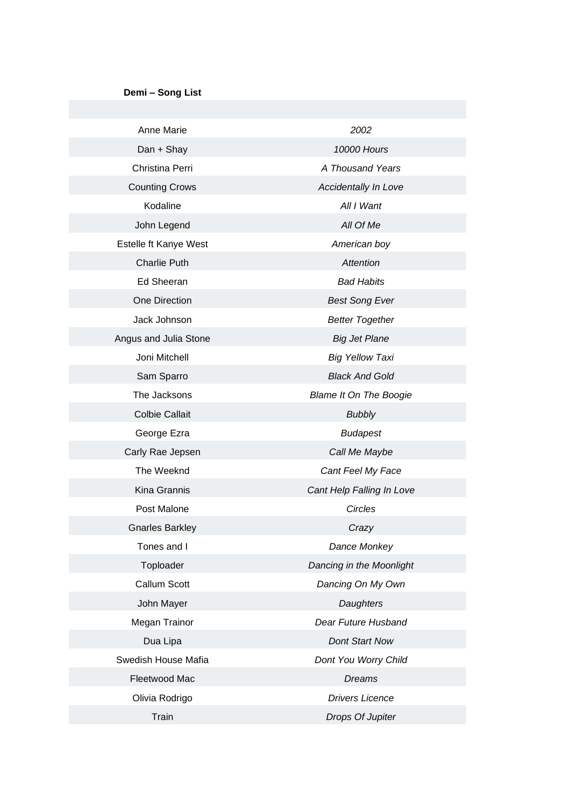## **Demi – Song List**

| Anne Marie             | 2002                          |
|------------------------|-------------------------------|
| Dan + Shay             | <b>10000 Hours</b>            |
| Christina Perri        | A Thousand Years              |
| <b>Counting Crows</b>  | Accidentally In Love          |
| Kodaline               | All I Want                    |
| John Legend            | All Of Me                     |
| Estelle ft Kanye West  | American boy                  |
| <b>Charlie Puth</b>    | Attention                     |
| Ed Sheeran             | <b>Bad Habits</b>             |
| One Direction          | <b>Best Song Ever</b>         |
| Jack Johnson           | <b>Better Together</b>        |
| Angus and Julia Stone  | <b>Big Jet Plane</b>          |
| Joni Mitchell          | <b>Big Yellow Taxi</b>        |
| Sam Sparro             | <b>Black And Gold</b>         |
| The Jacksons           | <b>Blame It On The Boogie</b> |
| <b>Colbie Callait</b>  | <b>Bubbly</b>                 |
| George Ezra            | <b>Budapest</b>               |
| Carly Rae Jepsen       | Call Me Maybe                 |
| The Weeknd             | Cant Feel My Face             |
| Kina Grannis           | Cant Help Falling In Love     |
| Post Malone            | Circles                       |
| <b>Gnarles Barkley</b> | Crazy                         |
| Tones and I            | Dance Monkey                  |
| Toploader              | Dancing in the Moonlight      |
| Callum Scott           | Dancing On My Own             |
| John Mayer             | Daughters                     |
| Megan Trainor          | Dear Future Husband           |
| Dua Lipa               | Dont Start Now                |
| Swedish House Mafia    | Dont You Worry Child          |
| Fleetwood Mac          | <b>Dreams</b>                 |
| Olivia Rodrigo         | <b>Drivers Licence</b>        |
| Train                  | Drops Of Jupiter              |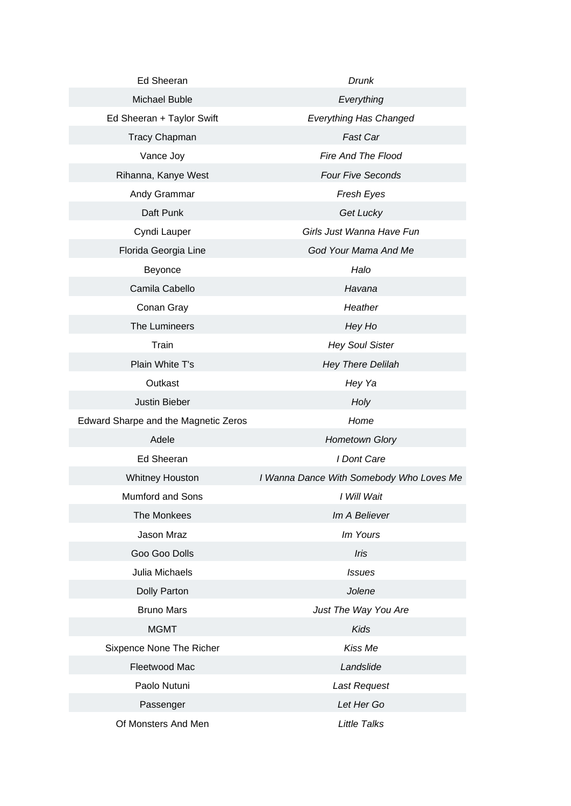| <b>Ed Sheeran</b>                    | Drunk                                    |
|--------------------------------------|------------------------------------------|
| Michael Buble                        | Everything                               |
| Ed Sheeran + Taylor Swift            | <b>Everything Has Changed</b>            |
| <b>Tracy Chapman</b>                 | Fast Car                                 |
| Vance Joy                            | Fire And The Flood                       |
| Rihanna, Kanye West                  | <b>Four Five Seconds</b>                 |
| Andy Grammar                         | Fresh Eyes                               |
| Daft Punk                            | Get Lucky                                |
| Cyndi Lauper                         | Girls Just Wanna Have Fun                |
| Florida Georgia Line                 | God Your Mama And Me                     |
| Beyonce                              | Halo                                     |
| Camila Cabello                       | Havana                                   |
| Conan Gray                           | Heather                                  |
| The Lumineers                        | Hey Ho                                   |
| Train                                | <b>Hey Soul Sister</b>                   |
| Plain White T's                      | <b>Hey There Delilah</b>                 |
| Outkast                              | Hey Ya                                   |
| Justin Bieber                        | Holy                                     |
| Edward Sharpe and the Magnetic Zeros | Home                                     |
| Adele                                | <b>Hometown Glory</b>                    |
| Ed Sheeran                           | I Dont Care                              |
| <b>Whitney Houston</b>               | I Wanna Dance With Somebody Who Loves Me |
| Mumford and Sons                     | I Will Wait                              |
| The Monkees                          | Im A Believer                            |
| Jason Mraz                           | Im Yours                                 |
| Goo Goo Dolls                        | Iris                                     |
| Julia Michaels                       | <b>Issues</b>                            |
| Dolly Parton                         | Jolene                                   |
| <b>Bruno Mars</b>                    | Just The Way You Are                     |
| <b>MGMT</b>                          | <b>Kids</b>                              |
| Sixpence None The Richer             | Kiss Me                                  |
| Fleetwood Mac                        | Landslide                                |
| Paolo Nutuni                         | Last Request                             |
| Passenger                            | Let Her Go                               |
| Of Monsters And Men                  | <b>Little Talks</b>                      |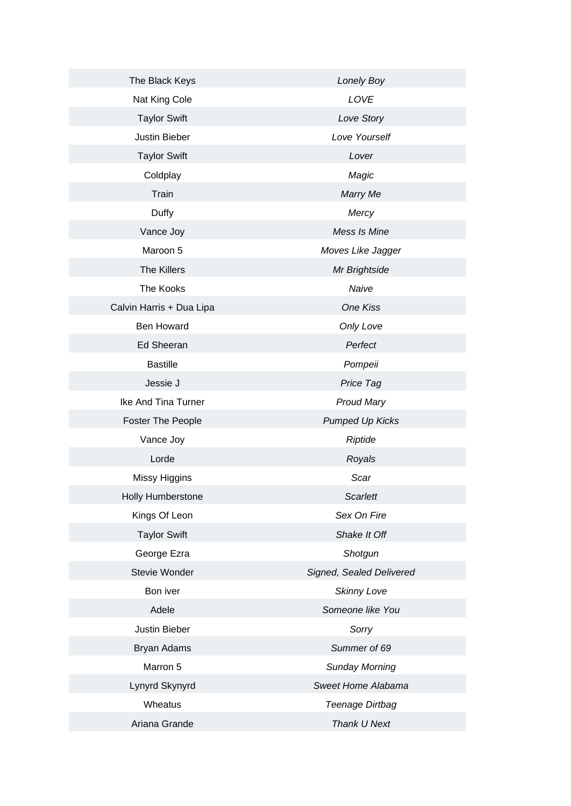| The Black Keys           | Lonely Boy               |
|--------------------------|--------------------------|
| Nat King Cole            | LOVE                     |
| <b>Taylor Swift</b>      | Love Story               |
| Justin Bieber            | Love Yourself            |
| <b>Taylor Swift</b>      | Lover                    |
| Coldplay                 | Magic                    |
| Train                    | Marry Me                 |
| Duffy                    | Mercy                    |
| Vance Joy                | Mess Is Mine             |
| Maroon 5                 | Moves Like Jagger        |
| The Killers              | Mr Brightside            |
| The Kooks                | Naive                    |
| Calvin Harris + Dua Lipa | One Kiss                 |
| <b>Ben Howard</b>        | Only Love                |
| <b>Ed Sheeran</b>        | Perfect                  |
| <b>Bastille</b>          | Pompeii                  |
| Jessie J                 | Price Tag                |
| Ike And Tina Turner      | <b>Proud Mary</b>        |
| <b>Foster The People</b> | <b>Pumped Up Kicks</b>   |
| Vance Joy                | Riptide                  |
| Lorde                    | Royals                   |
| Missy Higgins            | Scar                     |
| Holly Humberstone        | Scarlett                 |
| Kings Of Leon            | Sex On Fire              |
| <b>Taylor Swift</b>      | Shake It Off             |
| George Ezra              | Shotgun                  |
| Stevie Wonder            | Signed, Sealed Delivered |
| Bon iver                 | <b>Skinny Love</b>       |
| Adele                    | Someone like You         |
| Justin Bieber            | Sorry                    |
| Bryan Adams              | Summer of 69             |
| Marron 5                 | <b>Sunday Morning</b>    |
| Lynyrd Skynyrd           | Sweet Home Alabama       |
| Wheatus                  | Teenage Dirtbag          |
| Ariana Grande            | Thank U Next             |